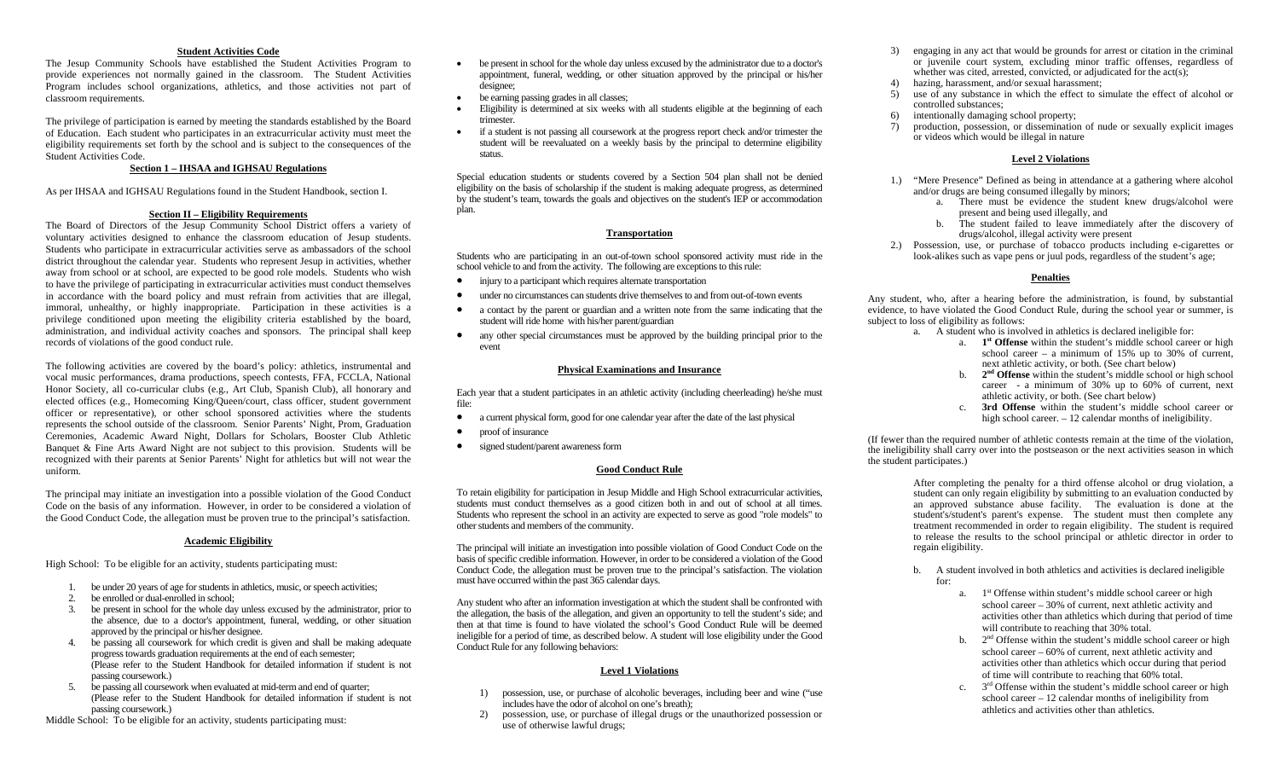#### **Student Activities Code**

The Jesup Community Schools have established the Student Activities Program to provide experiences not normally gained in the classroom. The Student Activities Program includes school organizations, athletics, and those activities not part of classroom requirements.

The privilege of participation is earned by meeting the standards established by the Board of Education. Each student who participates in an extracurricular activity must meet the eligibility requirements set forth by the school and is subject to the consequences of the Student Activities Code.

## **Section 1 – IHSAA and IGHSAU Regulations**

As per IHSAA and IGHSAU Regulations found in the Student Handbook, section I.

#### **Section II – Eligibility Requirements**

The Board of Directors of the Jesup Community School District offers a variety of voluntary activities designed to enhance the classroom education of Jesup students. Students who participate in extracurricular activities serve as ambassadors of the school district throughout the calendar year. Students who represent Jesup in activities, whether away from school or at school, are expected to be good role models. Students who wish to have the privilege of participating in extracurricular activities must conduct themselves in accordance with the board policy and must refrain from activities that are illegal, immoral, unhealthy, or highly inappropriate. Participation in these activities is a privilege conditioned upon meeting the eligibility criteria established by the board, administration, and individual activity coaches and sponsors. The principal shall keep records of violations of the good conduct rule.

The following activities are covered by the board's policy: athletics, instrumental and vocal music performances, drama productions, speech contests, FFA, FCCLA, National Honor Society, all co-curricular clubs (e.g., Art Club, Spanish Club), all honorary and elected offices (e.g., Homecoming King/Queen/court, class officer, student government officer or representative), or other school sponsored activities where the students represents the school outside of the classroom. Senior Parents' Night, Prom, Graduation Ceremonies, Academic Award Night, Dollars for Scholars, Booster Club Athletic Banquet & Fine Arts Award Night are not subject to this provision. Students will be recognized with their parents at Senior Parents' Night for athletics but will not wear the uniform.

The principal may initiate an investigation into a possible violation of the Good Conduct Code on the basis of any information. However, in order to be considered a violation of the Good Conduct Code, the allegation must be proven true to the principal's satisfaction.

#### **Academic Eligibility**

High School: To be eligible for an activity, students participating must:

- 1. be under 20 years of age for students in athletics, music, or speech activities;
- 2. be enrolled or dual-enrolled in school;
- 3. be present in school for the whole day unless excused by the administrator, prior to the absence, due to a doctor's appointment, funeral, wedding, or other situation approved by the principal or his/her designee.
- 4. be passing all coursework for which credit is given and shall be making adequate progress towards graduation requirements at the end of each semester; (Please refer to the Student Handbook for detailed information if student is not passing coursework.)
- 5. be passing all coursework when evaluated at mid-term and end of quarter; (Please refer to the Student Handbook for detailed information if student is not passing coursework.)

Middle School: To be eligible for an activity, students participating must:

- 0 be present in school for the whole day unless excused by the administrator due to a doctor's appointment, funeral, wedding, or other situation approved by the principal or his/her designee;
- $\bullet$ be earning passing grades in all classes;
- $\bullet$  Eligibility is determined at six weeks with all students eligible at the beginning of each trimester.
- e if a student is not passing all coursework at the progress report check and/or trimester the student will be reevaluated on a weekly basis by the principal to determine eligibility status.

Special education students or students covered by a Section 504 plan shall not be denied eligibility on the basis of scholarship if the student is making adequate progress, as determined by the student's team, towards the goals and objectives on the student's IEP or accommodation plan.

## **Transportation**

Students who are participating in an out-of-town school sponsored activity must ride in the school vehicle to and from the activity. The following are exceptions to this rule:

- c injury to a participant which requires alternate transportation
- c under no circumstances can students drive themselves to and from out-of-town events
- c a contact by the parent or guardian and a written note from the same indicating that the student will ride home with his/her parent/guardian
- any other special circumstances must be approved by the building principal prior to the event

#### **Physical Examinations and Insurance**

Each year that a student participates in an athletic activity (including cheerleading) he/she must file:

- c a current physical form, good for one calendar year after the date of the last physical
- c proof of insurance
- c signed student/parent awareness form

# **Good Conduct Rule**

To retain eligibility for participation in Jesup Middle and High School extracurricular activities, students must conduct themselves as a good citizen both in and out of school at all times. Students who represent the school in an activity are expected to serve as good "role models" to other students and members of the community.

The principal will initiate an investigation into possible violation of Good Conduct Code on the basis of specific credible information. However, in order to be considered a violation of the Good Conduct Code, the allegation must be proven true to the principal's satisfaction. The violation must have occurred within the past 365 calendar days.

Any student who after an information investigation at which the student shall be confronted with the allegation, the basis of the allegation, and given an opportunity to tell the student's side; and then at that time is found to have violated the school's Good Conduct Rule will be deemed ineligible for a period of time, as described below. A student will lose eligibility under the Good Conduct Rule for any following behaviors:

## **Level 1 Violations**

- 1) possession, use, or purchase of alcoholic beverages, including beer and wine ("use includes have the odor of alcohol on one's breath);
- 2) possession, use, or purchase of illegal drugs or the unauthorized possession or use of otherwise lawful drugs;
- 3) engaging in any act that would be grounds for arrest or citation in the criminal or juvenile court system, excluding minor traffic offenses, regardless of whether was cited, arrested, convicted, or adjudicated for the act(s);
- 4) hazing, harassment, and/or sexual harassment;<br>5) use of any substance in which the effect to sin
- use of any substance in which the effect to simulate the effect of alcohol or controlled substances;
- 6) intentionally damaging school property;
- 7) production, possession, or dissemination of nude or sexually explicit images or videos which would be illegal in nature

## **Level 2 Violations**

- 1.) "Mere Presence" Defined as being in attendance at a gathering where alcohol and/or drugs are being consumed illegally by minors;
	- a. There must be evidence the student knew drugs/alcohol were present and being used illegally, and
	- b. The student failed to leave immediately after the discovery of drugs/alcohol, illegal activity were present
- 2.) Possession, use, or purchase of tobacco products including e-cigarettes or look-alikes such as vape pens or juul pods, regardless of the student's age;

# **Penalties**

Any student, who, after a hearing before the administration, is found, by substantial evidence, to have violated the Good Conduct Rule, during the school year or summer, is subject to loss of eligibility as follows:

- a. A student who is involved in athletics is declared ineligible for:
	- a. **1st Offense** within the student's middle school career or high school career – a minimum of 15% up to 30% of current, next athletic activity, or both. (See chart below)
	- b. **2nd Offense** within the student's middle school or high school career - a minimum of 30% up to 60% of current, next athletic activity, or both. (See chart below)
	- c. **3rd Offense** within the student's middle school career or high school career.  $-12$  calendar months of ineligibility.

(If fewer than the required number of athletic contests remain at the time of the violation, the ineligibility shall carry over into the postseason or the next activities season in which the student participates.)

> After completing the penalty for a third offense alcohol or drug violation, a student can only regain eligibility by submitting to an evaluation conducted by an approved substance abuse facility. The evaluation is done at the student's/student's parent's expense. The student must then complete any treatment recommended in order to regain eligibility. The student is required to release the results to the school principal or athletic director in order to regain eligibility.

- b. A student involved in both athletics and activities is declared ineligible for:
	- a. 1<sup>st</sup> Offense within student's middle school career or high school career – 30% of current, next athletic activity and activities other than athletics which during that period of time will contribute to reaching that 30% total.
	- b.  $2<sup>nd</sup>$  Offense within the student's middle school career or high school career – 60% of current, next athletic activity and activities other than athletics which occur during that period of time will contribute to reaching that 60% total.
	- c.  $3<sup>rd</sup>$  Offense within the student's middle school career or high school career – 12 calendar months of ineligibility from athletics and activities other than athletics.